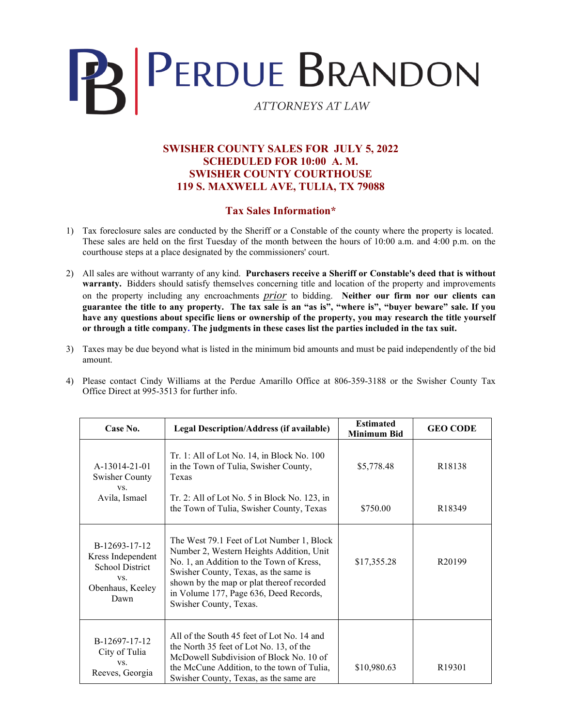

## **SWISHER COUNTY SALES FOR JULY 5, 2022 SCHEDULED FOR 10:00 A. M. SWISHER COUNTY COURTHOUSE 119 S. MAXWELL AVE, TULIA, TX 79088**

## **Tax Sales Information\***

- 1) Tax foreclosure sales are conducted by the Sheriff or a Constable of the county where the property is located. These sales are held on the first Tuesday of the month between the hours of 10:00 a.m. and 4:00 p.m. on the courthouse steps at a place designated by the commissioners' court.
- 2) All sales are without warranty of any kind. **Purchasers receive a Sheriff or Constable's deed that is without warranty.** Bidders should satisfy themselves concerning title and location of the property and improvements on the property including any encroachments *prior* to bidding. **Neither our firm nor our clients can guarantee the title to any property. The tax sale is an "as is", "where is", "buyer beware" sale. If you have any questions about specific liens or ownership of the property, you may research the title yourself or through a title company. The judgments in these cases list the parties included in the tax suit.**
- 3) Taxes may be due beyond what is listed in the minimum bid amounts and must be paid independently of the bid amount.
- 4) Please contact Cindy Williams at the Perdue Amarillo Office at 806-359-3188 or the Swisher County Tax Office Direct at 995-3513 for further info.

| Case No.                                                                                        | <b>Legal Description/Address (if available)</b>                                                                                                                                                                                                                                             | <b>Estimated</b><br><b>Minimum Bid</b> | <b>GEO CODE</b>    |
|-------------------------------------------------------------------------------------------------|---------------------------------------------------------------------------------------------------------------------------------------------------------------------------------------------------------------------------------------------------------------------------------------------|----------------------------------------|--------------------|
| A-13014-21-01<br><b>Swisher County</b><br>VS.<br>Avila, Ismael                                  | $Tr. 1: All of Lot No. 14, in Block No. 100$<br>in the Town of Tulia, Swisher County,<br>Texas                                                                                                                                                                                              | \$5,778.48                             | R <sub>18138</sub> |
|                                                                                                 | Tr. 2: All of Lot No. 5 in Block No. 123, in<br>the Town of Tulia, Swisher County, Texas                                                                                                                                                                                                    | \$750.00                               | R <sub>18349</sub> |
| B-12693-17-12<br>Kress Independent<br><b>School District</b><br>VS.<br>Obenhaus, Keeley<br>Dawn | The West 79.1 Feet of Lot Number 1, Block<br>Number 2, Western Heights Addition, Unit<br>No. 1, an Addition to the Town of Kress,<br>Swisher County, Texas, as the same is<br>shown by the map or plat thereof recorded<br>in Volume 177, Page 636, Deed Records,<br>Swisher County, Texas. | \$17,355.28                            | R <sub>20199</sub> |
| B-12697-17-12<br>City of Tulia<br>VS.<br>Reeves, Georgia                                        | All of the South 45 feet of Lot No. 14 and<br>the North 35 feet of Lot No. 13, of the<br>McDowell Subdivision of Block No. 10 of<br>the McCune Addition, to the town of Tulia,<br>Swisher County, Texas, as the same are                                                                    | \$10,980.63                            | R <sub>19301</sub> |